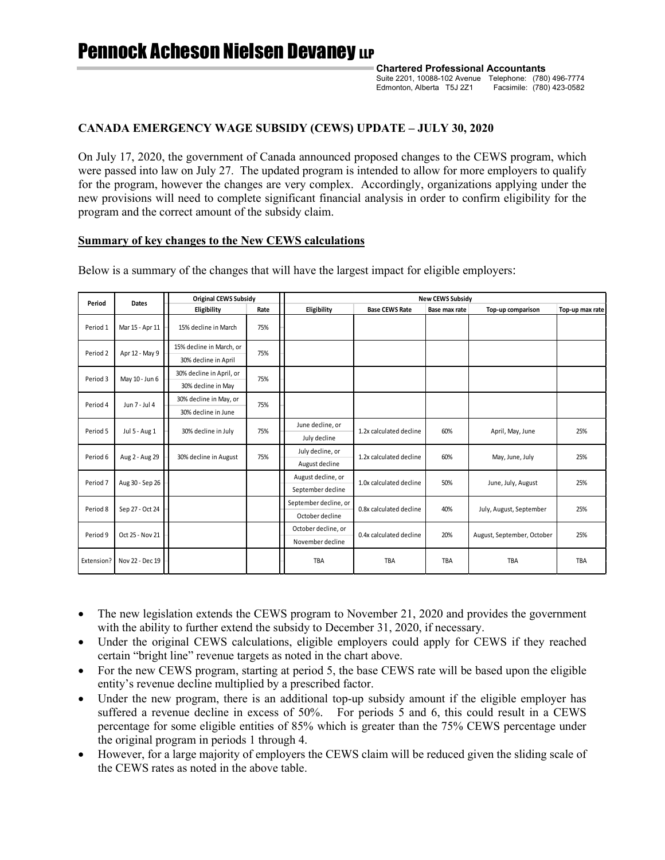**Chartered Professional Accountants** Suite 2201, 10088-102 Avenue Telephone: (780) 496-7774 Edmonton, Alberta T5J 2Z1 Facsimile: (780) 423-0582

# **CANADA EMERGENCY WAGE SUBSIDY (CEWS) UPDATE – JULY 30, 2020**

On July 17, 2020, the government of Canada announced proposed changes to the CEWS program, which were passed into law on July 27. The updated program is intended to allow for more employers to qualify for the program, however the changes are very complex. Accordingly, organizations applying under the new provisions will need to complete significant financial analysis in order to confirm eligibility for the program and the correct amount of the subsidy claim.

## **Summary of key changes to the New CEWS calculations**

| Period              | <b>Dates</b>    | <b>Original CEWS Subsidy</b> |      | <b>New CEWS Subsidy</b> |                         |               |                            |                 |
|---------------------|-----------------|------------------------------|------|-------------------------|-------------------------|---------------|----------------------------|-----------------|
|                     |                 | Eligibility                  | Rate | Eligibility             | <b>Base CEWS Rate</b>   | Base max rate | Top-up comparison          | Top-up max rate |
| Period 1            | Mar 15 - Apr 11 | 15% decline in March         | 75%  |                         |                         |               |                            |                 |
| Period 2            | Apr 12 - May 9  | 15% decline in March, or     | 75%  |                         |                         |               |                            |                 |
|                     |                 | 30% decline in April         |      |                         |                         |               |                            |                 |
| Period 3            | May 10 - Jun 6  | 30% decline in April, or     | 75%  |                         |                         |               |                            |                 |
|                     |                 | 30% decline in May           |      |                         |                         |               |                            |                 |
| Period 4            | Jun 7 - Jul 4   | 30% decline in May, or       | 75%  |                         |                         |               |                            |                 |
|                     |                 | 30% decline in June          |      |                         |                         |               |                            |                 |
| Period 5            | Jul 5 - Aug 1   | 30% decline in July          | 75%  | June decline, or        | 1.2x calculated decline | 60%           | April, May, June           | 25%             |
|                     |                 |                              |      | July decline            |                         |               |                            |                 |
| Period 6            | Aug 2 - Aug 29  | 30% decline in August        | 75%  | July decline, or        | 1.2x calculated decline | 60%           | May, June, July            | 25%             |
|                     |                 |                              |      | August decline          |                         |               |                            |                 |
| Period <sub>7</sub> | Aug 30 - Sep 26 |                              |      | August decline, or      | 1.0x calculated decline | 50%           | June, July, August         | 25%             |
|                     |                 |                              |      | September decline       |                         |               |                            |                 |
| Period 8            | Sep 27 - Oct 24 |                              |      | September decline, or   | 0.8x calculated decline | 40%           | July, August, September    | 25%             |
|                     |                 |                              |      | October decline         |                         |               |                            |                 |
| Period 9            | Oct 25 - Nov 21 |                              |      | October decline, or     | 0.4x calculated decline | 20%           | August, September, October | 25%             |
|                     |                 |                              |      | November decline        |                         |               |                            |                 |
| Extension?          | Nov 22 - Dec 19 |                              |      | TBA                     | TBA                     | <b>TBA</b>    | <b>TBA</b>                 | TBA             |

Below is a summary of the changes that will have the largest impact for eligible employers:

- The new legislation extends the CEWS program to November 21, 2020 and provides the government with the ability to further extend the subsidy to December 31, 2020, if necessary.
- Under the original CEWS calculations, eligible employers could apply for CEWS if they reached certain "bright line" revenue targets as noted in the chart above.
- For the new CEWS program, starting at period 5, the base CEWS rate will be based upon the eligible entity's revenue decline multiplied by a prescribed factor.
- Under the new program, there is an additional top-up subsidy amount if the eligible employer has suffered a revenue decline in excess of 50%. For periods 5 and 6, this could result in a CEWS percentage for some eligible entities of 85% which is greater than the 75% CEWS percentage under the original program in periods 1 through 4.
- However, for a large majority of employers the CEWS claim will be reduced given the sliding scale of the CEWS rates as noted in the above table.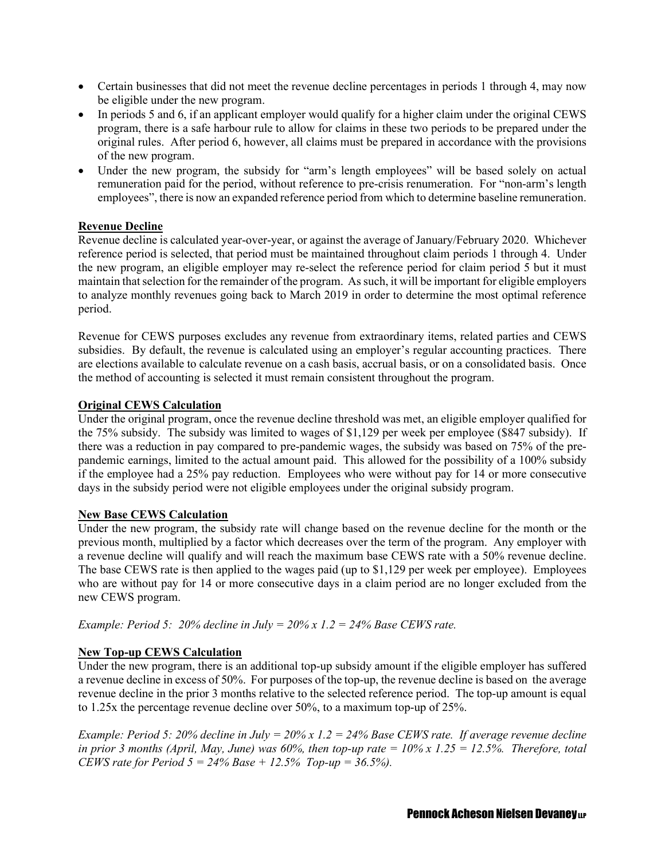- Certain businesses that did not meet the revenue decline percentages in periods 1 through 4, may now be eligible under the new program.
- In periods 5 and 6, if an applicant employer would qualify for a higher claim under the original CEWS program, there is a safe harbour rule to allow for claims in these two periods to be prepared under the original rules. After period 6, however, all claims must be prepared in accordance with the provisions of the new program.
- Under the new program, the subsidy for "arm's length employees" will be based solely on actual remuneration paid for the period, without reference to pre-crisis renumeration. For "non-arm's length employees", there is now an expanded reference period from which to determine baseline remuneration.

# **Revenue Decline**

Revenue decline is calculated year-over-year, or against the average of January/February 2020. Whichever reference period is selected, that period must be maintained throughout claim periods 1 through 4. Under the new program, an eligible employer may re-select the reference period for claim period 5 but it must maintain that selection for the remainder of the program. As such, it will be important for eligible employers to analyze monthly revenues going back to March 2019 in order to determine the most optimal reference period.

Revenue for CEWS purposes excludes any revenue from extraordinary items, related parties and CEWS subsidies. By default, the revenue is calculated using an employer's regular accounting practices. There are elections available to calculate revenue on a cash basis, accrual basis, or on a consolidated basis. Once the method of accounting is selected it must remain consistent throughout the program.

# **Original CEWS Calculation**

Under the original program, once the revenue decline threshold was met, an eligible employer qualified for the 75% subsidy. The subsidy was limited to wages of \$1,129 per week per employee (\$847 subsidy). If there was a reduction in pay compared to pre-pandemic wages, the subsidy was based on 75% of the prepandemic earnings, limited to the actual amount paid. This allowed for the possibility of a 100% subsidy if the employee had a 25% pay reduction. Employees who were without pay for 14 or more consecutive days in the subsidy period were not eligible employees under the original subsidy program.

# **New Base CEWS Calculation**

Under the new program, the subsidy rate will change based on the revenue decline for the month or the previous month, multiplied by a factor which decreases over the term of the program. Any employer with a revenue decline will qualify and will reach the maximum base CEWS rate with a 50% revenue decline. The base CEWS rate is then applied to the wages paid (up to \$1,129 per week per employee). Employees who are without pay for 14 or more consecutive days in a claim period are no longer excluded from the new CEWS program.

*Example: Period 5: 20% decline in July = 20% x 1.2 = 24% Base CEWS rate.*

# **New Top-up CEWS Calculation**

Under the new program, there is an additional top-up subsidy amount if the eligible employer has suffered a revenue decline in excess of 50%. For purposes of the top-up, the revenue decline is based on the average revenue decline in the prior 3 months relative to the selected reference period. The top-up amount is equal to 1.25x the percentage revenue decline over 50%, to a maximum top-up of 25%.

*Example: Period 5: 20% decline in July = 20% x 1.2 = 24% Base CEWS rate. If average revenue decline in prior 3 months (April, May, June) was 60%, then top-up rate*  $= 10\% \times 1.25 = 12.5\%$ . Therefore, total *CEWS rate for Period 5 = 24% Base + 12.5% Top-up = 36.5%).*